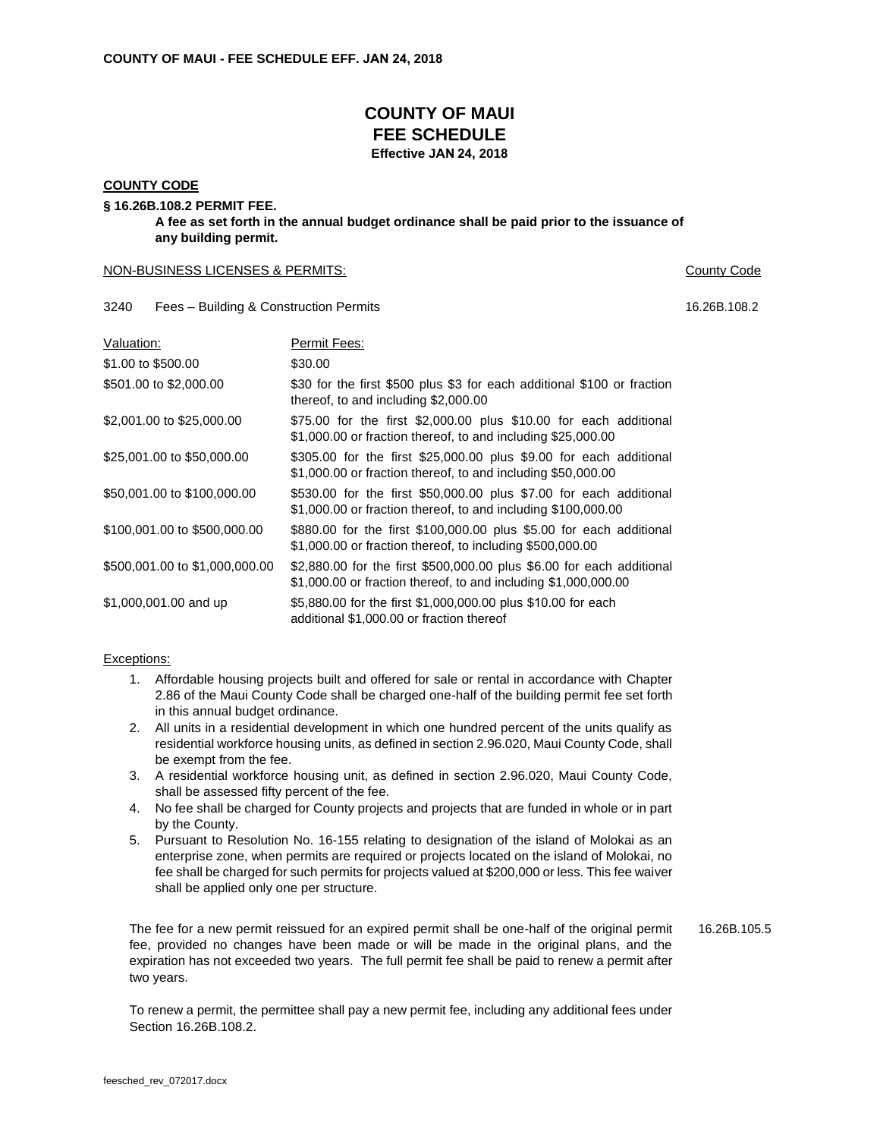# **COUNTY OF MAUI FEE SCHEDULE Effective JAN 24, 2018**

#### **COUNTY CODE**

# **§ 16.26B.108.2 PERMIT FEE.**

**A fee as set forth in the annual budget ordinance shall be paid prior to the issuance of any building permit.** 

### NON-BUSINESS LICENSES & PERMITS: County Code

3240 Fees – Building & Construction Permits 16.26B.108.2

| Valuation:                     | Permit Fees:                                                                                                                             |
|--------------------------------|------------------------------------------------------------------------------------------------------------------------------------------|
| \$1.00 to \$500.00             | \$30.00                                                                                                                                  |
| \$501.00 to \$2,000.00         | \$30 for the first \$500 plus \$3 for each additional \$100 or fraction<br>thereof, to and including \$2,000.00                          |
| \$2,001.00 to \$25,000.00      | \$75.00 for the first \$2,000.00 plus \$10.00 for each additional<br>\$1,000.00 or fraction thereof, to and including \$25,000.00        |
| \$25,001.00 to \$50,000.00     | \$305.00 for the first \$25,000.00 plus \$9.00 for each additional<br>\$1,000.00 or fraction thereof, to and including \$50,000.00       |
| \$50,001.00 to \$100,000.00    | \$530.00 for the first \$50,000.00 plus \$7.00 for each additional<br>\$1,000.00 or fraction thereof, to and including \$100,000.00      |
| \$100,001.00 to \$500,000.00   | \$880.00 for the first \$100,000.00 plus \$5.00 for each additional<br>\$1,000.00 or fraction thereof, to including \$500,000.00         |
| \$500,001.00 to \$1,000,000.00 | \$2,880.00 for the first \$500,000.00 plus \$6.00 for each additional<br>\$1,000.00 or fraction thereof, to and including \$1,000,000.00 |
| \$1,000,001.00 and up          | \$5,880.00 for the first \$1,000,000.00 plus \$10.00 for each<br>additional \$1,000,00 or fraction thereof                               |

## Exceptions:

- 1. Affordable housing projects built and offered for sale or rental in accordance with Chapter 2.86 of the Maui County Code shall be charged one-half of the building permit fee set forth in this annual budget ordinance.
- 2. All units in a residential development in which one hundred percent of the units qualify as residential workforce housing units, as defined in section 2.96.020, Maui County Code, shall be exempt from the fee.
- 3. A residential workforce housing unit, as defined in section 2.96.020, Maui County Code, shall be assessed fifty percent of the fee.
- 4. No fee shall be charged for County projects and projects that are funded in whole or in part by the County.
- 5. Pursuant to Resolution No. 16-155 relating to designation of the island of Molokai as an enterprise zone, when permits are required or projects located on the island of Molokai, no fee shall be charged for such permits for projects valued at \$200,000 or less. This fee waiver shall be applied only one per structure.

The fee for a new permit reissued for an expired permit shall be one-half of the original permit fee, provided no changes have been made or will be made in the original plans, and the expiration has not exceeded two years. The full permit fee shall be paid to renew a permit after two years. 16.26B.105.5

To renew a permit, the permittee shall pay a new permit fee, including any additional fees under Section 16.26B.108.2.